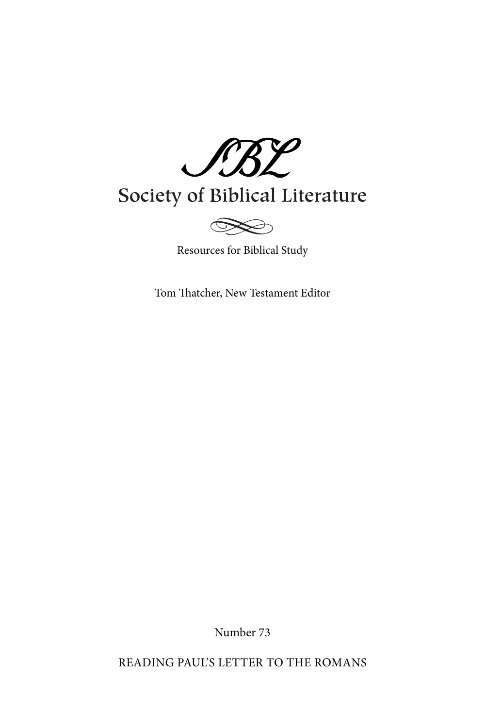SBL

# Society of Biblical Literature



Resources for Biblical Study

Tom Thatcher, New Testament Editor

Number 73

READING PAUL'S LETTER TO THE ROMANS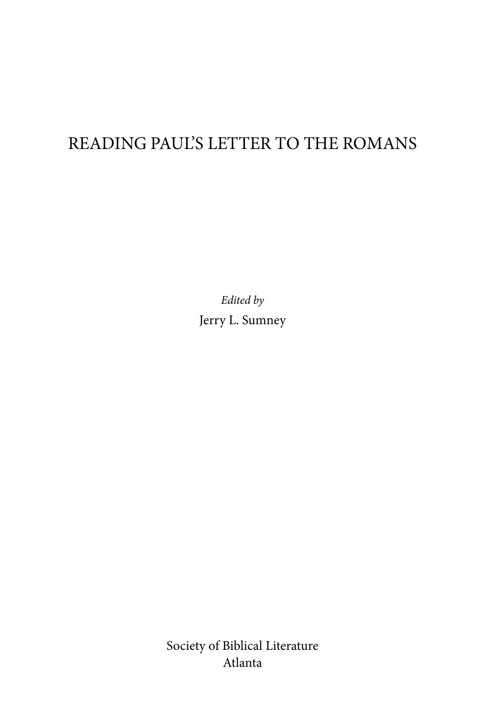Edited by Jerry L. Sumney

Society of Biblical Literature Atlanta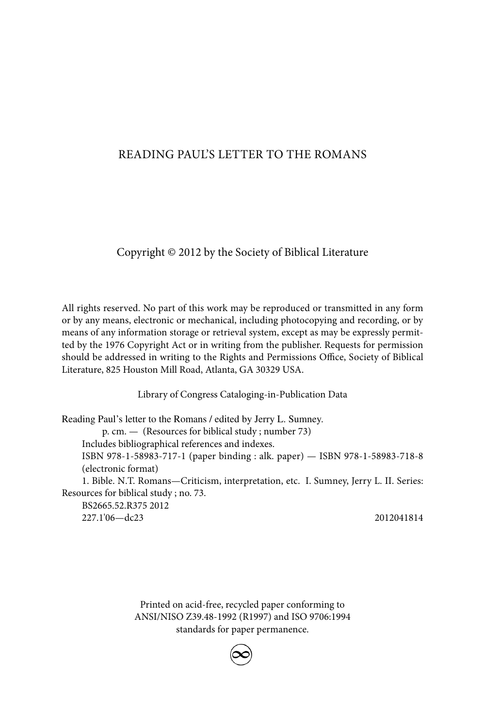#### Copyright © 2012 by the Society of Biblical Literature

All rights reserved. No part of this work may be reproduced or transmitted in any form or by any means, electronic or mechanical, including photocopying and recording, or by means of any information storage or retrieval system, except as may be expressly permitted by the 1976 Copyright Act or in writing from the publisher. Requests for permission should be addressed in writing to the Rights and Permissions Office, Society of Biblical Literature, 825 Houston Mill Road, Atlanta, GA 30329 USA.

Library of Congress Cataloging-in-Publication Data

Reading Paul's letter to the Romans / edited by Jerry L. Sumney. p. cm. — (Resources for biblical study ; number 73) Includes bibliographical references and indexes. ISBN 978-1-58983-717-1 (paper binding : alk. paper) — ISBN 978-1-58983-718-8 (electronic format) 1. Bible. N.T. Romans—Criticism, interpretation, etc. I. Sumney, Jerry L. II. Series: Resources for biblical study ; no. 73. BS2665.52.R375 2012 227.1'06—dc23 2012041814

Printed on acid-free, recycled paper conforming to ANSI/NISO Z39.48-1992 (R1997) and ISO 9706:1994 standards for paper permanence.

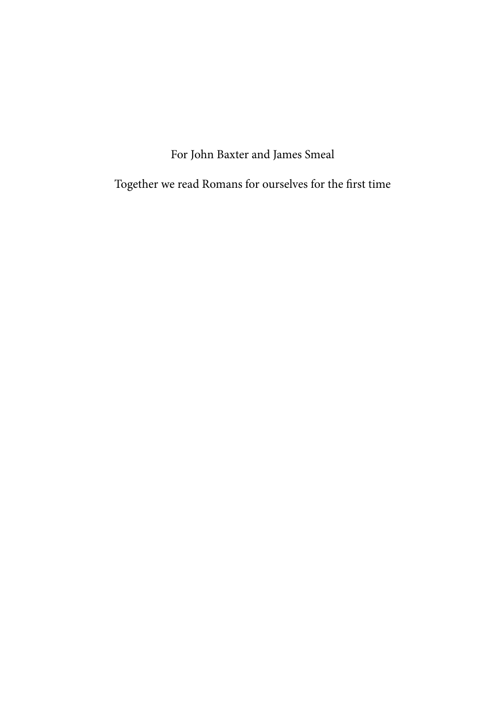For John Baxter and James Smeal

Together we read Romans for ourselves for the first time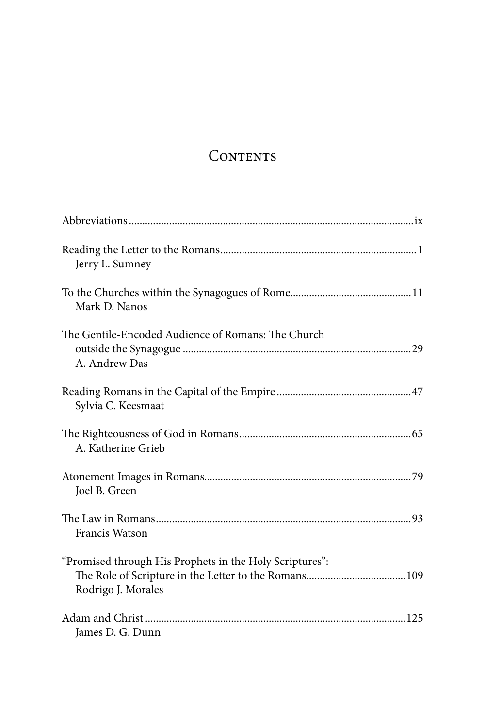## **CONTENTS**

| Jerry L. Sumney                                                               |
|-------------------------------------------------------------------------------|
| Mark D. Nanos                                                                 |
| The Gentile-Encoded Audience of Romans: The Church<br>A. Andrew Das           |
| Sylvia C. Keesmaat                                                            |
| A. Katherine Grieb                                                            |
| Joel B. Green                                                                 |
| Francis Watson                                                                |
| "Promised through His Prophets in the Holy Scriptures":<br>Rodrigo J. Morales |
| James D. G. Dunn                                                              |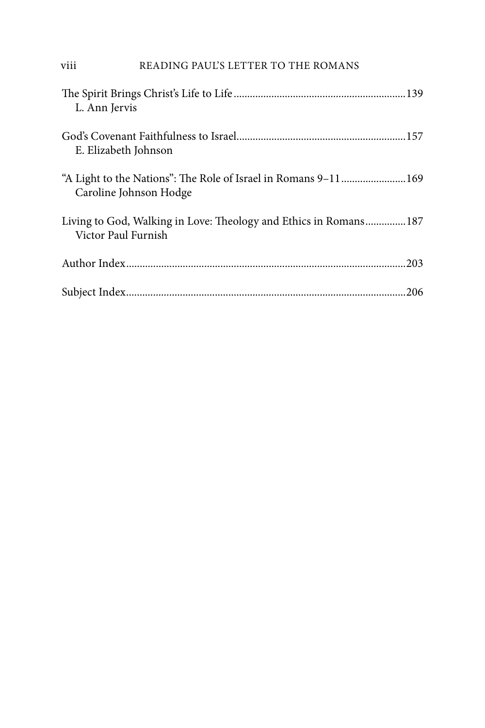| V111 | READING PAUL'S LETTER TO THE ROMANS |  |  |  |
|------|-------------------------------------|--|--|--|
|      |                                     |  |  |  |

| L. Ann Jervis                                                                           |
|-----------------------------------------------------------------------------------------|
| E. Elizabeth Johnson                                                                    |
| Caroline Johnson Hodge                                                                  |
| Living to God, Walking in Love: Theology and Ethics in Romans187<br>Victor Paul Furnish |
|                                                                                         |
|                                                                                         |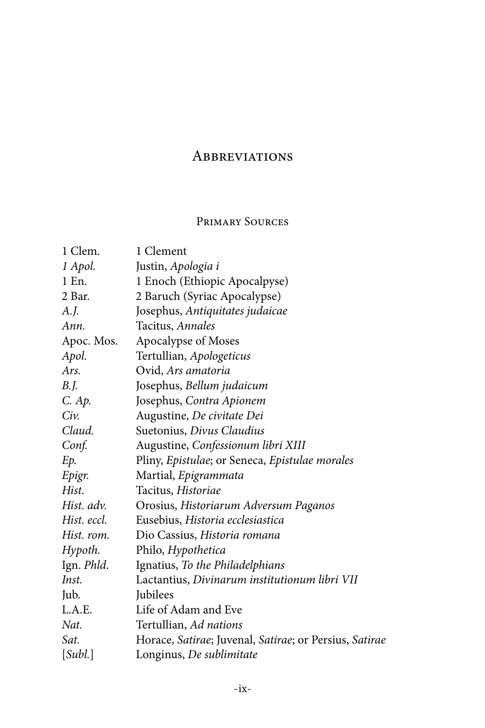## **ABBREVIATIONS**

## Primary Sources

| 1 Clem.     | 1 Clement                                              |
|-------------|--------------------------------------------------------|
| 1 Apol.     | Justin, Apologia i                                     |
| 1 En.       | 1 Enoch (Ethiopic Apocalpyse)                          |
| 2 Bar.      | 2 Baruch (Syriac Apocalypse)                           |
| A.J.        | Josephus, Antiquitates judaicae                        |
| Ann.        | Tacitus, Annales                                       |
| Apoc. Mos.  | Apocalypse of Moses                                    |
| Apol.       | Tertullian, Apologeticus                               |
| Ars.        | Ovid, Ars amatoria                                     |
| B.J.        | Josephus, Bellum judaicum                              |
| $C.$ Ap.    | Josephus, Contra Apionem                               |
| $Civ$ .     | Augustine, De civitate Dei                             |
| Claud.      | Suetonius, Divus Claudius                              |
| Conf.       | Augustine, Confessionum libri XIII                     |
| Ep.         | Pliny, Epistulae; or Seneca, Epistulae morales         |
| Epigr.      | Martial, Epigrammata                                   |
| Hist.       | Tacitus, Historiae                                     |
| Hist. adv.  | Orosius, Historiarum Adversum Paganos                  |
| Hist. eccl. | Eusebius, Historia ecclesiastica                       |
| Hist. rom.  | Dio Cassius, Historia romana                           |
| Hypoth.     | Philo, <i>Hypothetica</i>                              |
| Ign. Phld.  | Ignatius, To the Philadelphians                        |
| Inst.       | Lactantius, Divinarum institutionum libri VII          |
| Jub.        | Jubilees                                               |
| L.A.E.      | Life of Adam and Eve                                   |
| Nat.        | Tertullian, Ad nations                                 |
| Sat.        | Horace, Satirae; Juvenal, Satirae; or Persius, Satirae |
| [Subl.]     | Longinus, De sublimitate                               |
|             |                                                        |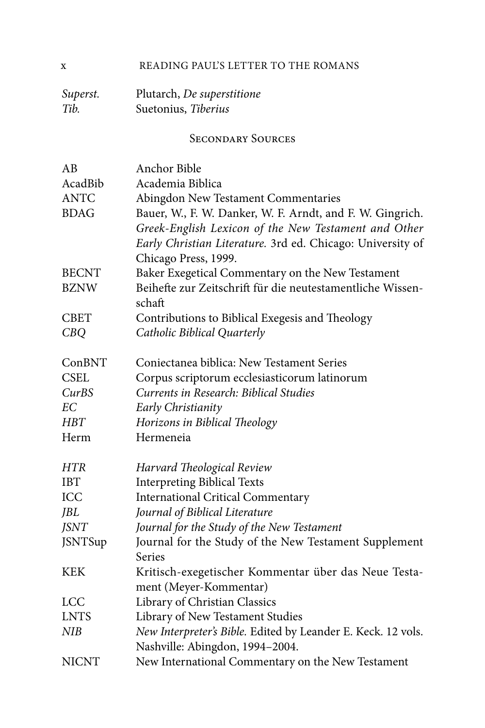| Superst. | Plutarch, De superstitione |
|----------|----------------------------|
| Tib.     | Suetonius, Tiberius        |

## Secondary Sources

| AB             | Anchor Bible                                                           |
|----------------|------------------------------------------------------------------------|
| AcadBib        | Academia Biblica                                                       |
| <b>ANTC</b>    | Abingdon New Testament Commentaries                                    |
| <b>BDAG</b>    | Bauer, W., F. W. Danker, W. F. Arndt, and F. W. Gingrich.              |
|                | Greek-English Lexicon of the New Testament and Other                   |
|                | Early Christian Literature. 3rd ed. Chicago: University of             |
|                | Chicago Press, 1999.                                                   |
| <b>BECNT</b>   | Baker Exegetical Commentary on the New Testament                       |
| <b>BZNW</b>    | Beihefte zur Zeitschrift für die neutestamentliche Wissen-             |
|                | schaft                                                                 |
| <b>CBET</b>    | Contributions to Biblical Exegesis and Theology                        |
| CBQ            | Catholic Biblical Quarterly                                            |
| ConBNT         | Coniectanea biblica: New Testament Series                              |
| <b>CSEL</b>    | Corpus scriptorum ecclesiasticorum latinorum                           |
| CurBS          | Currents in Research: Biblical Studies                                 |
| EC             | Early Christianity                                                     |
| HBT            | Horizons in Biblical Theology                                          |
| Herm           | Hermeneia                                                              |
| <b>HTR</b>     | Harvard Theological Review                                             |
| <b>IBT</b>     | <b>Interpreting Biblical Texts</b>                                     |
| ICC            | <b>International Critical Commentary</b>                               |
| JBL            | Journal of Biblical Literature                                         |
| <b>JSNT</b>    | Journal for the Study of the New Testament                             |
| <b>JSNTSup</b> | Journal for the Study of the New Testament Supplement<br><b>Series</b> |
| <b>KEK</b>     | Kritisch-exegetischer Kommentar über das Neue Testa-                   |
|                | ment (Meyer-Kommentar)                                                 |
| <b>LCC</b>     | Library of Christian Classics                                          |
| <b>LNTS</b>    | Library of New Testament Studies                                       |
| <b>NIB</b>     | New Interpreter's Bible. Edited by Leander E. Keck. 12 vols.           |
|                | Nashville: Abingdon, 1994-2004.                                        |
| <b>NICNT</b>   | New International Commentary on the New Testament                      |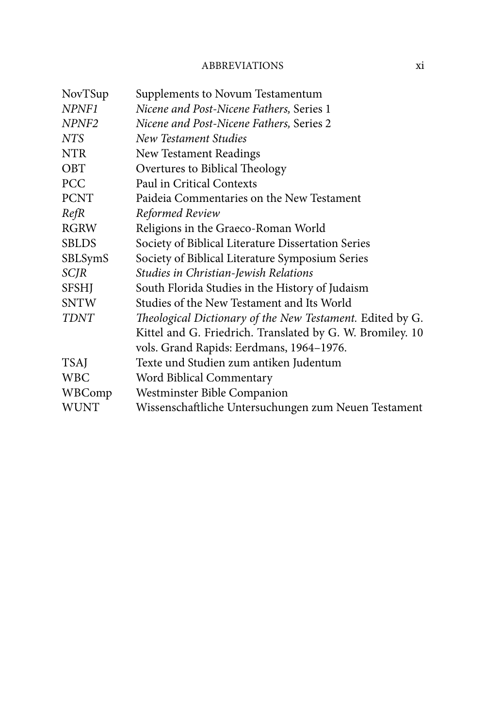#### ABBREVIATIONS xi

| NovTSup           | Supplements to Novum Testamentum                          |
|-------------------|-----------------------------------------------------------|
| NPNF1             | Nicene and Post-Nicene Fathers, Series 1                  |
| NPNF <sub>2</sub> | Nicene and Post-Nicene Fathers, Series 2                  |
| NTS.              | New Testament Studies                                     |
| NTR.              | New Testament Readings                                    |
| OBT               | Overtures to Biblical Theology                            |
| PCC               | Paul in Critical Contexts                                 |
| <b>PCNT</b>       | Paideia Commentaries on the New Testament                 |
| RefR              | Reformed Review                                           |
| <b>RGRW</b>       | Religions in the Graeco-Roman World                       |
| <b>SBLDS</b>      | Society of Biblical Literature Dissertation Series        |
| SBLSymS           | Society of Biblical Literature Symposium Series           |
| SCJR              | Studies in Christian-Jewish Relations                     |
| <b>SFSHJ</b>      | South Florida Studies in the History of Judaism           |
| <b>SNTW</b>       | Studies of the New Testament and Its World                |
| <b>TDNT</b>       | Theological Dictionary of the New Testament. Edited by G. |
|                   | Kittel and G. Friedrich. Translated by G. W. Bromiley. 10 |
|                   | vols. Grand Rapids: Eerdmans, 1964-1976.                  |
| <b>TSAJ</b>       | Texte und Studien zum antiken Judentum                    |
| <b>WBC</b>        | Word Biblical Commentary                                  |
| WBComp            | Westminster Bible Companion                               |
| <b>WUNT</b>       | Wissenschaftliche Untersuchungen zum Neuen Testament      |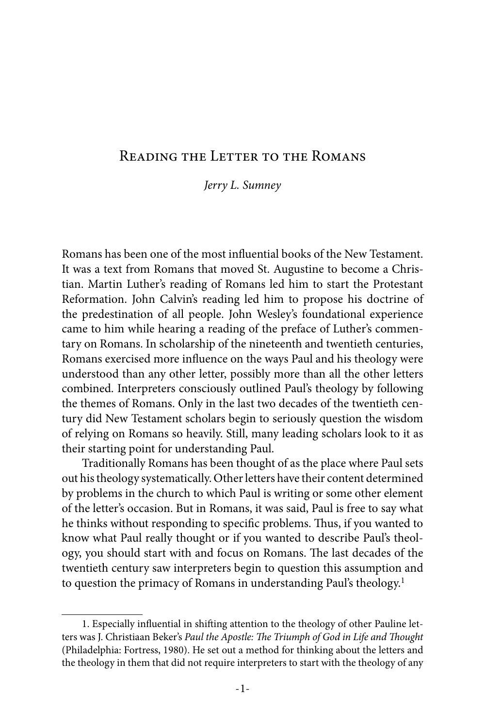### Reading the Letter to the Romans

Jerry L. Sumney

Romans has been one of the most influential books of the New Testament. It was a text from Romans that moved St. Augustine to become a Christian. Martin Luther's reading of Romans led him to start the Protestant Reformation. John Calvin's reading led him to propose his doctrine of the predestination of all people. John Wesley's foundational experience came to him while hearing a reading of the preface of Luther's commentary on Romans. In scholarship of the nineteenth and twentieth centuries, Romans exercised more influence on the ways Paul and his theology were understood than any other letter, possibly more than all the other letters combined. Interpreters consciously outlined Paul's theology by following the themes of Romans. Only in the last two decades of the twentieth century did New Testament scholars begin to seriously question the wisdom of relying on Romans so heavily. Still, many leading scholars look to it as their starting point for understanding Paul.

Traditionally Romans has been thought of as the place where Paul sets out his theology systematically. Other letters have their content determined by problems in the church to which Paul is writing or some other element of the letter's occasion. But in Romans, it was said, Paul is free to say what he thinks without responding to specific problems. Thus, if you wanted to know what Paul really thought or if you wanted to describe Paul's theology, you should start with and focus on Romans. The last decades of the twentieth century saw interpreters begin to question this assumption and to question the primacy of Romans in understanding Paul's theology.<sup>1</sup>

<sup>1.</sup> Especially influential in shifting attention to the theology of other Pauline letters was J. Christiaan Beker's Paul the Apostle: The Triumph of God in Life and Thought (Philadelphia: Fortress, 1980). He set out a method for thinking about the letters and the theology in them that did not require interpreters to start with the theology of any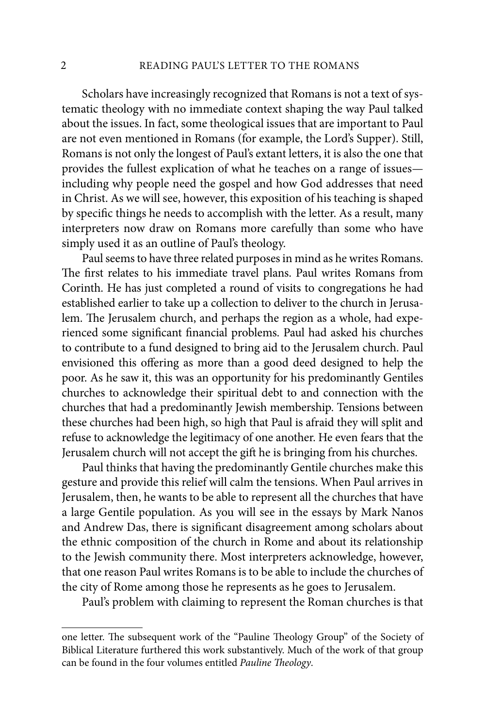Scholars have increasingly recognized that Romans is not a text of systematic theology with no immediate context shaping the way Paul talked about the issues. In fact, some theological issues that are important to Paul are not even mentioned in Romans (for example, the Lord's Supper). Still, Romans is not only the longest of Paul's extant letters, it is also the one that provides the fullest explication of what he teaches on a range of issues including why people need the gospel and how God addresses that need in Christ. As we will see, however, this exposition of his teaching is shaped by specific things he needs to accomplish with the letter. As a result, many interpreters now draw on Romans more carefully than some who have simply used it as an outline of Paul's theology.

Paul seems to have three related purposes in mind as he writes Romans. The first relates to his immediate travel plans. Paul writes Romans from Corinth. He has just completed a round of visits to congregations he had established earlier to take up a collection to deliver to the church in Jerusalem. The Jerusalem church, and perhaps the region as a whole, had experienced some significant financial problems. Paul had asked his churches to contribute to a fund designed to bring aid to the Jerusalem church. Paul envisioned this offering as more than a good deed designed to help the poor. As he saw it, this was an opportunity for his predominantly Gentiles churches to acknowledge their spiritual debt to and connection with the churches that had a predominantly Jewish membership. Tensions between these churches had been high, so high that Paul is afraid they will split and refuse to acknowledge the legitimacy of one another. He even fears that the Jerusalem church will not accept the gift he is bringing from his churches.

Paul thinks that having the predominantly Gentile churches make this gesture and provide this relief will calm the tensions. When Paul arrives in Jerusalem, then, he wants to be able to represent all the churches that have a large Gentile population. As you will see in the essays by Mark Nanos and Andrew Das, there is significant disagreement among scholars about the ethnic composition of the church in Rome and about its relationship to the Jewish community there. Most interpreters acknowledge, however, that one reason Paul writes Romans is to be able to include the churches of the city of Rome among those he represents as he goes to Jerusalem.

Paul's problem with claiming to represent the Roman churches is that

one letter. The subsequent work of the "Pauline Theology Group" of the Society of Biblical Literature furthered this work substantively. Much of the work of that group can be found in the four volumes entitled Pauline Theology.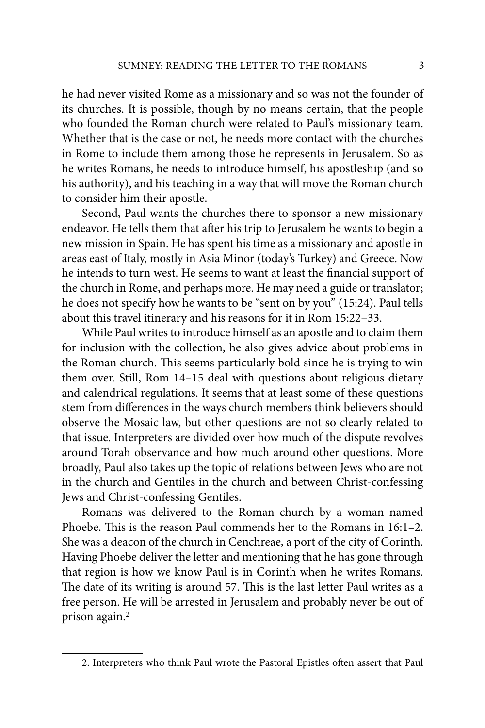he had never visited Rome as a missionary and so was not the founder of its churches. It is possible, though by no means certain, that the people who founded the Roman church were related to Paul's missionary team. Whether that is the case or not, he needs more contact with the churches in Rome to include them among those he represents in Jerusalem. So as he writes Romans, he needs to introduce himself, his apostleship (and so his authority), and his teaching in a way that will move the Roman church to consider him their apostle.

Second, Paul wants the churches there to sponsor a new missionary endeavor. He tells them that after his trip to Jerusalem he wants to begin a new mission in Spain. He has spent his time as a missionary and apostle in areas east of Italy, mostly in Asia Minor (today's Turkey) and Greece. Now he intends to turn west. He seems to want at least the financial support of the church in Rome, and perhaps more. He may need a guide or translator; he does not specify how he wants to be "sent on by you" (15:24). Paul tells about this travel itinerary and his reasons for it in Rom 15:22–33.

While Paul writes to introduce himself as an apostle and to claim them for inclusion with the collection, he also gives advice about problems in the Roman church. This seems particularly bold since he is trying to win them over. Still, Rom 14–15 deal with questions about religious dietary and calendrical regulations. It seems that at least some of these questions stem from differences in the ways church members think believers should observe the Mosaic law, but other questions are not so clearly related to that issue. Interpreters are divided over how much of the dispute revolves around Torah observance and how much around other questions. More broadly, Paul also takes up the topic of relations between Jews who are not in the church and Gentiles in the church and between Christ-confessing Jews and Christ-confessing Gentiles.

Romans was delivered to the Roman church by a woman named Phoebe. This is the reason Paul commends her to the Romans in 16:1–2. She was a deacon of the church in Cenchreae, a port of the city of Corinth. Having Phoebe deliver the letter and mentioning that he has gone through that region is how we know Paul is in Corinth when he writes Romans. The date of its writing is around 57. This is the last letter Paul writes as a free person. He will be arrested in Jerusalem and probably never be out of prison again.2

<sup>2.</sup> Interpreters who think Paul wrote the Pastoral Epistles often assert that Paul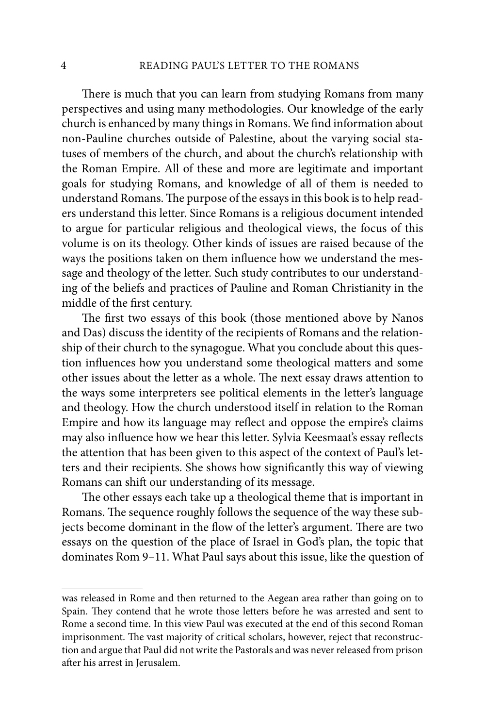There is much that you can learn from studying Romans from many perspectives and using many methodologies. Our knowledge of the early church is enhanced by many things in Romans. We find information about non-Pauline churches outside of Palestine, about the varying social statuses of members of the church, and about the church's relationship with the Roman Empire. All of these and more are legitimate and important goals for studying Romans, and knowledge of all of them is needed to understand Romans. The purpose of the essays in this book is to help readers understand this letter. Since Romans is a religious document intended to argue for particular religious and theological views, the focus of this volume is on its theology. Other kinds of issues are raised because of the ways the positions taken on them influence how we understand the message and theology of the letter. Such study contributes to our understanding of the beliefs and practices of Pauline and Roman Christianity in the middle of the first century.

The first two essays of this book (those mentioned above by Nanos and Das) discuss the identity of the recipients of Romans and the relationship of their church to the synagogue. What you conclude about this question influences how you understand some theological matters and some other issues about the letter as a whole. The next essay draws attention to the ways some interpreters see political elements in the letter's language and theology. How the church understood itself in relation to the Roman Empire and how its language may reflect and oppose the empire's claims may also influence how we hear this letter. Sylvia Keesmaat's essay reflects the attention that has been given to this aspect of the context of Paul's letters and their recipients. She shows how significantly this way of viewing Romans can shift our understanding of its message.

The other essays each take up a theological theme that is important in Romans. The sequence roughly follows the sequence of the way these subjects become dominant in the flow of the letter's argument. There are two essays on the question of the place of Israel in God's plan, the topic that dominates Rom 9–11. What Paul says about this issue, like the question of

was released in Rome and then returned to the Aegean area rather than going on to Spain. They contend that he wrote those letters before he was arrested and sent to Rome a second time. In this view Paul was executed at the end of this second Roman imprisonment. The vast majority of critical scholars, however, reject that reconstruction and argue that Paul did not write the Pastorals and was never released from prison after his arrest in Jerusalem.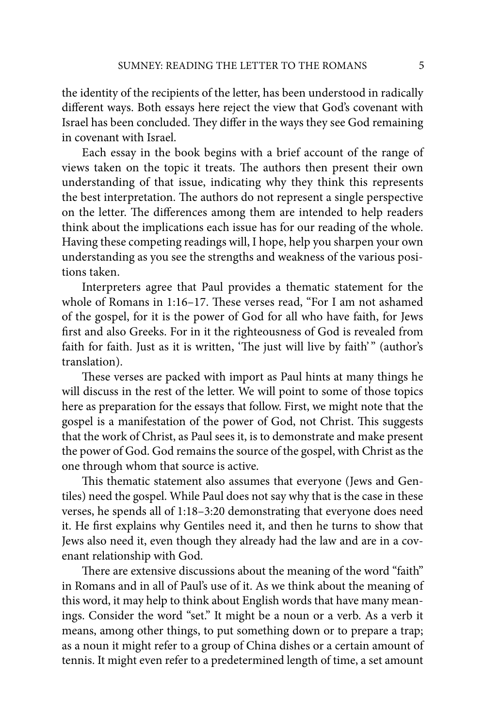the identity of the recipients of the letter, has been understood in radically different ways. Both essays here reject the view that God's covenant with Israel has been concluded. They differ in the ways they see God remaining in covenant with Israel.

Each essay in the book begins with a brief account of the range of views taken on the topic it treats. The authors then present their own understanding of that issue, indicating why they think this represents the best interpretation. The authors do not represent a single perspective on the letter. The differences among them are intended to help readers think about the implications each issue has for our reading of the whole. Having these competing readings will, I hope, help you sharpen your own understanding as you see the strengths and weakness of the various positions taken.

Interpreters agree that Paul provides a thematic statement for the whole of Romans in 1:16-17. These verses read, "For I am not ashamed of the gospel, for it is the power of God for all who have faith, for Jews first and also Greeks. For in it the righteousness of God is revealed from faith for faith. Just as it is written, 'The just will live by faith'" (author's translation).

These verses are packed with import as Paul hints at many things he will discuss in the rest of the letter. We will point to some of those topics here as preparation for the essays that follow. First, we might note that the gospel is a manifestation of the power of God, not Christ. This suggests that the work of Christ, as Paul sees it, is to demonstrate and make present the power of God. God remains the source of the gospel, with Christ as the one through whom that source is active.

This thematic statement also assumes that everyone (Jews and Gentiles) need the gospel. While Paul does not say why that is the case in these verses, he spends all of 1:18–3:20 demonstrating that everyone does need it. He first explains why Gentiles need it, and then he turns to show that Jews also need it, even though they already had the law and are in a covenant relationship with God.

There are extensive discussions about the meaning of the word "faith" in Romans and in all of Paul's use of it. As we think about the meaning of this word, it may help to think about English words that have many meanings. Consider the word "set." It might be a noun or a verb. As a verb it means, among other things, to put something down or to prepare a trap; as a noun it might refer to a group of China dishes or a certain amount of tennis. It might even refer to a predetermined length of time, a set amount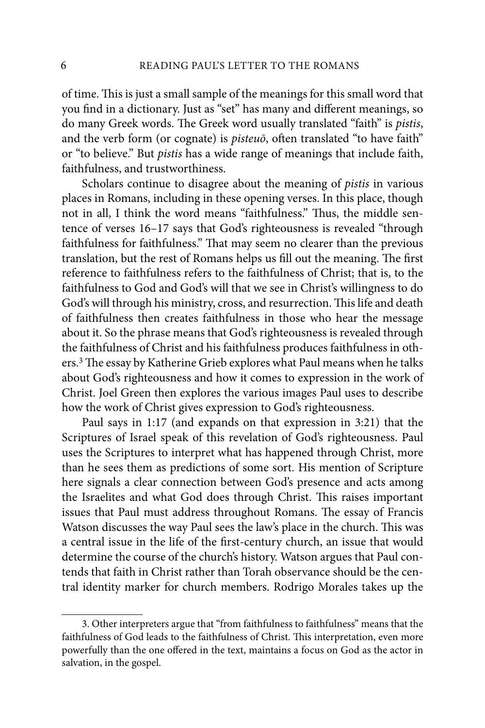of time. This is just a small sample of the meanings for this small word that you find in a dictionary. Just as "set" has many and different meanings, so do many Greek words. The Greek word usually translated "faith" is pistis, and the verb form (or cognate) is *pisteuō*, often translated "to have faith" or "to believe." But pistis has a wide range of meanings that include faith, faithfulness, and trustworthiness.

Scholars continue to disagree about the meaning of pistis in various places in Romans, including in these opening verses. In this place, though not in all, I think the word means "faithfulness." Thus, the middle sentence of verses 16–17 says that God's righteousness is revealed "through faithfulness for faithfulness." That may seem no clearer than the previous translation, but the rest of Romans helps us fill out the meaning. The first reference to faithfulness refers to the faithfulness of Christ; that is, to the faithfulness to God and God's will that we see in Christ's willingness to do God's will through his ministry, cross, and resurrection. This life and death of faithfulness then creates faithfulness in those who hear the message about it. So the phrase means that God's righteousness is revealed through the faithfulness of Christ and his faithfulness produces faithfulness in others.<sup>3</sup> The essay by Katherine Grieb explores what Paul means when he talks about God's righteousness and how it comes to expression in the work of Christ. Joel Green then explores the various images Paul uses to describe how the work of Christ gives expression to God's righteousness.

Paul says in 1:17 (and expands on that expression in 3:21) that the Scriptures of Israel speak of this revelation of God's righteousness. Paul uses the Scriptures to interpret what has happened through Christ, more than he sees them as predictions of some sort. His mention of Scripture here signals a clear connection between God's presence and acts among the Israelites and what God does through Christ. This raises important issues that Paul must address throughout Romans. The essay of Francis Watson discusses the way Paul sees the law's place in the church. This was a central issue in the life of the first-century church, an issue that would determine the course of the church's history. Watson argues that Paul contends that faith in Christ rather than Torah observance should be the central identity marker for church members. Rodrigo Morales takes up the

<sup>3.</sup> Other interpreters argue that "from faithfulness to faithfulness" means that the faithfulness of God leads to the faithfulness of Christ. This interpretation, even more powerfully than the one offered in the text, maintains a focus on God as the actor in salvation, in the gospel.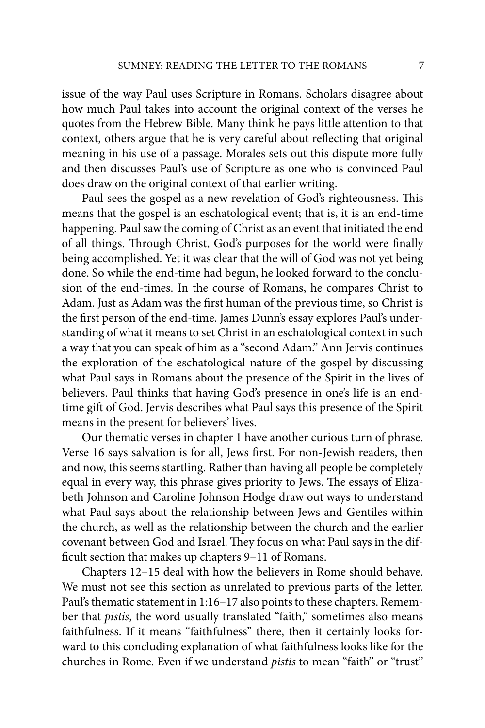issue of the way Paul uses Scripture in Romans. Scholars disagree about how much Paul takes into account the original context of the verses he quotes from the Hebrew Bible. Many think he pays little attention to that context, others argue that he is very careful about reflecting that original meaning in his use of a passage. Morales sets out this dispute more fully and then discusses Paul's use of Scripture as one who is convinced Paul does draw on the original context of that earlier writing.

Paul sees the gospel as a new revelation of God's righteousness. This means that the gospel is an eschatological event; that is, it is an end-time happening. Paul saw the coming of Christ as an event that initiated the end of all things. Through Christ, God's purposes for the world were finally being accomplished. Yet it was clear that the will of God was not yet being done. So while the end-time had begun, he looked forward to the conclusion of the end-times. In the course of Romans, he compares Christ to Adam. Just as Adam was the first human of the previous time, so Christ is the first person of the end-time. James Dunn's essay explores Paul's understanding of what it means to set Christ in an eschatological context in such a way that you can speak of him as a "second Adam." Ann Jervis continues the exploration of the eschatological nature of the gospel by discussing what Paul says in Romans about the presence of the Spirit in the lives of believers. Paul thinks that having God's presence in one's life is an endtime gift of God. Jervis describes what Paul says this presence of the Spirit means in the present for believers' lives.

Our thematic verses in chapter 1 have another curious turn of phrase. Verse 16 says salvation is for all, Jews first. For non-Jewish readers, then and now, this seems startling. Rather than having all people be completely equal in every way, this phrase gives priority to Jews. The essays of Elizabeth Johnson and Caroline Johnson Hodge draw out ways to understand what Paul says about the relationship between Jews and Gentiles within the church, as well as the relationship between the church and the earlier covenant between God and Israel. They focus on what Paul says in the difficult section that makes up chapters 9-11 of Romans.

Chapters 12–15 deal with how the believers in Rome should behave. We must not see this section as unrelated to previous parts of the letter. Paul's thematic statement in 1:16–17 also points to these chapters. Remember that *pistis*, the word usually translated "faith," sometimes also means faithfulness. If it means "faithfulness" there, then it certainly looks forward to this concluding explanation of what faithfulness looks like for the churches in Rome. Even if we understand pistis to mean "faith" or "trust"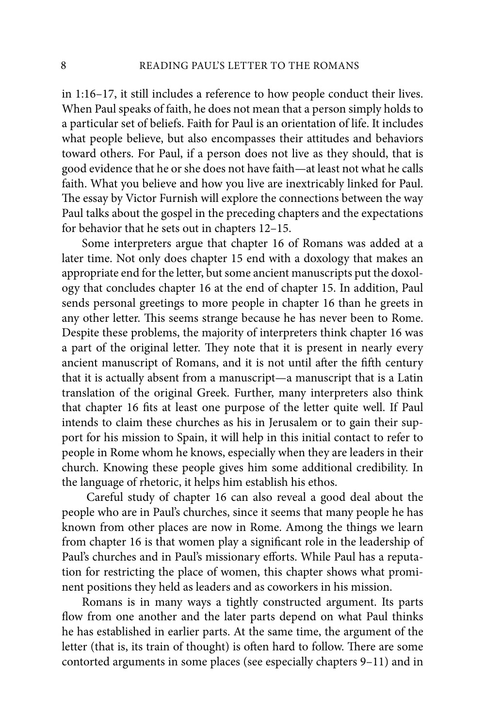in 1:16–17, it still includes a reference to how people conduct their lives. When Paul speaks of faith, he does not mean that a person simply holds to a particular set of beliefs. Faith for Paul is an orientation of life. It includes what people believe, but also encompasses their attitudes and behaviors toward others. For Paul, if a person does not live as they should, that is good evidence that he or she does not have faith—at least not what he calls faith. What you believe and how you live are inextricably linked for Paul. The essay by Victor Furnish will explore the connections between the way Paul talks about the gospel in the preceding chapters and the expectations for behavior that he sets out in chapters 12–15.

Some interpreters argue that chapter 16 of Romans was added at a later time. Not only does chapter 15 end with a doxology that makes an appropriate end for the letter, but some ancient manuscripts put the doxology that concludes chapter 16 at the end of chapter 15. In addition, Paul sends personal greetings to more people in chapter 16 than he greets in any other letter. This seems strange because he has never been to Rome. Despite these problems, the majority of interpreters think chapter 16 was a part of the original letter. They note that it is present in nearly every ancient manuscript of Romans, and it is not until after the fifth century that it is actually absent from a manuscript—a manuscript that is a Latin translation of the original Greek. Further, many interpreters also think that chapter 16 fits at least one purpose of the letter quite well. If Paul intends to claim these churches as his in Jerusalem or to gain their support for his mission to Spain, it will help in this initial contact to refer to people in Rome whom he knows, especially when they are leaders in their church. Knowing these people gives him some additional credibility. In the language of rhetoric, it helps him establish his ethos.

 Careful study of chapter 16 can also reveal a good deal about the people who are in Paul's churches, since it seems that many people he has known from other places are now in Rome. Among the things we learn from chapter 16 is that women play a significant role in the leadership of Paul's churches and in Paul's missionary efforts. While Paul has a reputation for restricting the place of women, this chapter shows what prominent positions they held as leaders and as coworkers in his mission.

Romans is in many ways a tightly constructed argument. Its parts flow from one another and the later parts depend on what Paul thinks he has established in earlier parts. At the same time, the argument of the letter (that is, its train of thought) is often hard to follow. There are some contorted arguments in some places (see especially chapters 9–11) and in